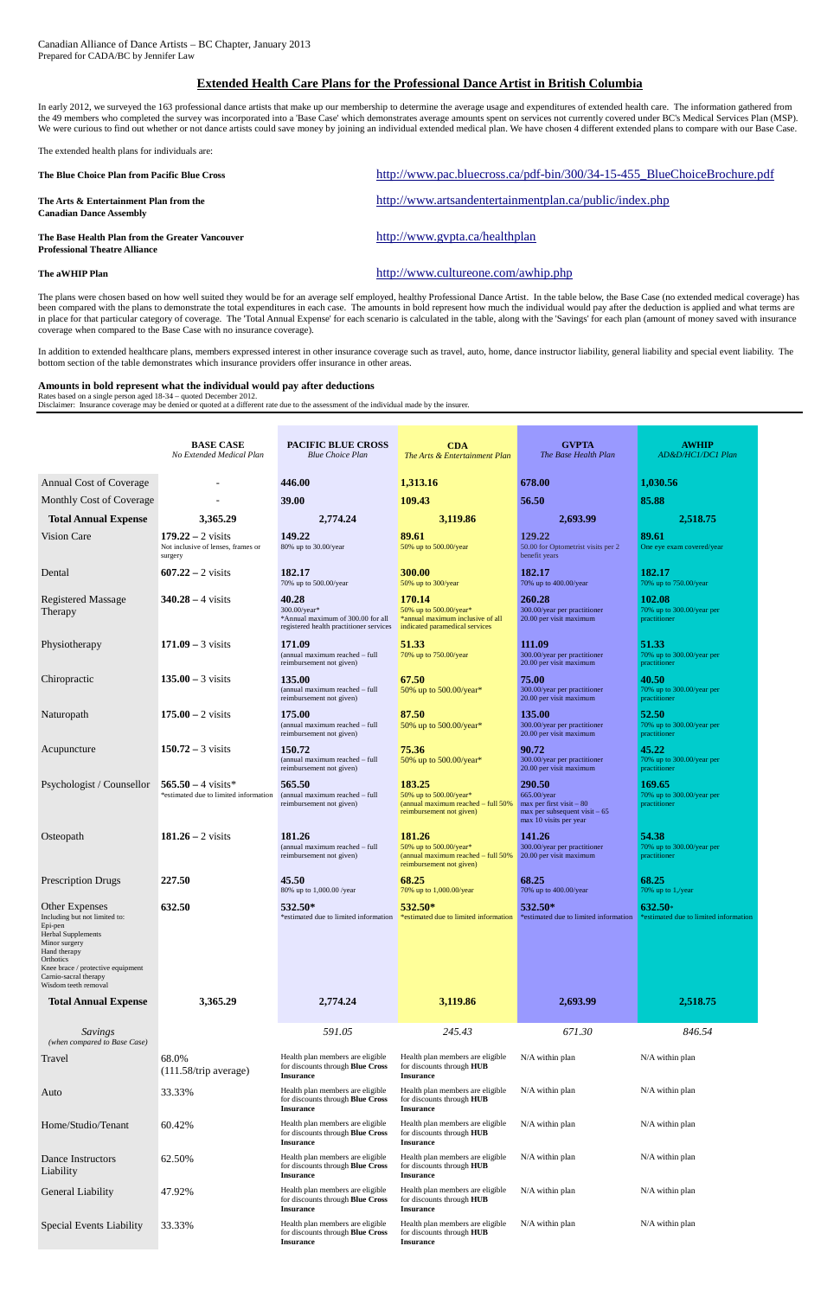In early 2012, we surveyed the 163 professional dance artists that make up our membership to determine the average usage and expenditures of extended health care. The information gathered from the 49 members who completed the survey was incorporated into a 'Base Case' which demonstrates average amounts spent on services not currently covered under BC's Medical Services Plan (MSP). We were curious to find out whether or not dance artists could save money by joining an individual extended medical plan. We have chosen 4 different extended plans to compare with our Base Case.

## **Extended Health Care Plans for the Professional Dance Artist in British Columbia**

The extended health plans for individuals are:

| The Blue Choice Plan from Pacific Blue Cross                                            | http://www.pac.bluecross.ca/pdf-bin/300/34-15-455_BlueChoiceBrochure.pdf |
|-----------------------------------------------------------------------------------------|--------------------------------------------------------------------------|
| The Arts & Entertainment Plan from the<br><b>Canadian Dance Assembly</b>                | http://www.artsandentertainmentplan.ca/public/index.php                  |
| The Base Health Plan from the Greater Vancouver<br><b>Professional Theatre Alliance</b> | http://www.gypta.ca/healthplan                                           |
| The aWHIP Plan                                                                          | http://www.cultureone.com/awhip.php                                      |

The plans were chosen based on how well suited they would be for an average self employed, healthy Professional Dance Artist. In the table below, the Base Case (no extended medical coverage) has been compared with the plans to demonstrate the total expenditures in each case. The amounts in bold represent how much the individual would pay after the deduction is applied and what terms are in place for that particular category of coverage. The 'Total Annual Expense' for each scenario is calculated in the table, along with the 'Savings' for each plan (amount of money saved with insurance coverage when compared to the Base Case with no insurance coverage).

In addition to extended healthcare plans, members expressed interest in other insurance coverage such as travel, auto, home, dance instructor liability, general liability and special event liability. The bottom section of the table demonstrates which insurance providers offer insurance in other areas.

## **Amounts in bold represent what the individual would pay after deductions**

Rates based on a single person aged 18-34 – quoted December 2012.

Disclaimer: Insurance coverage may be denied or quoted at a different rate due to the assessment of the individual made by the insurer.

|                                                            | <b>BASE CASE</b><br>No Extended Medical Plan                         | <b>PACIFIC BLUE CROSS</b><br><b>Blue Choice Plan</b>                                                  | <b>CDA</b><br>The Arts & Entertainment Plan                                                            | <b>GVPTA</b><br>The Base Health Plan                                                                             | <b>AWHIP</b><br>AD&D/HC1/DC1 Plan                      |
|------------------------------------------------------------|----------------------------------------------------------------------|-------------------------------------------------------------------------------------------------------|--------------------------------------------------------------------------------------------------------|------------------------------------------------------------------------------------------------------------------|--------------------------------------------------------|
| <b>Annual Cost of Coverage</b>                             |                                                                      | 446.00                                                                                                | 1,313.16                                                                                               | 678.00                                                                                                           | 1,030.56                                               |
| Monthly Cost of Coverage                                   |                                                                      | 39.00                                                                                                 | 109.43                                                                                                 | 56.50                                                                                                            | 85.88                                                  |
| <b>Total Annual Expense</b>                                | 3.365.29                                                             | 2,774.24                                                                                              | 3,119.86                                                                                               | 2,693.99                                                                                                         | 2,518.75                                               |
| <b>Vision Care</b>                                         | $179.22 - 2$ visits<br>Not inclusive of lenses, frames or<br>surgery | 149.22<br>80% up to 30.00/year                                                                        | 89.61<br>50% up to 500.00/year                                                                         | 129.22<br>50.00 for Optometrist visits per 2<br>benefit years                                                    | 89.61<br>One eye exam covered/year                     |
| Dental                                                     | $607.22 - 2$ visits                                                  | 182.17<br>70% up to 500.00/year                                                                       | 300.00<br>50% up to 300/year                                                                           | 182.17<br>70% up to 400.00/year                                                                                  | 182.17<br>70% up to 750.00/year                        |
| Registered Massage<br>Therapy                              | $340.28 - 4$ visits                                                  | 40.28<br>300.00/year*<br>*Annual maximum of 300.00 for all<br>registered health practitioner services | 170.14<br>50% up to 500.00/year*<br>*annual maximum inclusive of all<br>indicated paramedical services | 260.28<br>300.00/year per practitioner<br>20.00 per visit maximum                                                | 102.08<br>70% up to $300.00$ /year per<br>practitioner |
| Physiotherapy                                              | $171.09 - 3$ visits                                                  | 171.09<br>(annual maximum reached - full<br>reimbursement not given)                                  | 51.33<br>70% up to 750.00/year                                                                         | 111.09<br>300.00/year per practitioner<br>20.00 per visit maximum                                                | 51.33<br>70% up to 300.00/year per<br>practitioner     |
| Chiropractic                                               | $135.00 - 3$ visits                                                  | 135.00<br>(annual maximum reached - full<br>reimbursement not given)                                  | 67.50<br>50% up to 500.00/year*                                                                        | 75.00<br>300.00/year per practitioner<br>20.00 per visit maximum                                                 | 40.50<br>70% up to 300.00/year per<br>practitioner     |
| Naturopath                                                 | $175.00 - 2$ visits                                                  | 175.00<br>(annual maximum reached - full<br>reimbursement not given)                                  | 87.50<br>50% up to 500.00/year*                                                                        | 135.00<br>300.00/year per practitioner<br>20.00 per visit maximum                                                | 52.50<br>70% up to 300.00/year per<br>practitioner     |
| Acupuncture                                                | 150.72 – 3 visits                                                    | 150.72<br>(annual maximum reached - full<br>reimbursement not given)                                  | 75.36<br>50% up to 500.00/year*                                                                        | 90.72<br>300.00/year per practitioner<br>20.00 per visit maximum                                                 | 45.22<br>70% up to 300.00/year per<br>practitioner     |
| Psychologist / Counsellor                                  | $565.50 - 4$ visits*<br>*estimated due to limited information        | 565.50<br>(annual maximum reached - full<br>reimbursement not given)                                  | 183.25<br>50% up to 500.00/year*<br>(annual maximum reached - full 50%<br>reimbursement not given)     | 290.50<br>665.00/year<br>$max per first visit - 80$<br>$max per subsequent visit - 65$<br>max 10 visits per year | 169.65<br>70% up to 300.00/year per<br>practitioner    |
| Osteopath                                                  | 181.26 – 2 visits                                                    | 181.26<br>(annual maximum reached - full<br>reimbursement not given)                                  | 181.26<br>50% up to 500.00/year*<br>(annual maximum reached – full 50%)<br>reimbursement not given)    | 141.26<br>300.00/year per practitioner<br>20.00 per visit maximum                                                | 54.38<br>70% up to 300.00/year per<br>practitioner     |
| <b>Prescription Drugs</b>                                  | 227.50                                                               | 45.50<br>80% up to 1,000.00 /year                                                                     | 68.25<br>70% up to 1,000.00/year                                                                       | 68.25<br>70% up to 400.00/year                                                                                   | 68.25<br>70% up to 1,/year                             |
| Other Expenses<br>Including but not limited to:<br>Epi-pen | 632.50                                                               | 532.50*<br>*estimated due to limited information                                                      | 532.50*<br>*estimated due to limited information                                                       | 532.50*<br>*estimated due to limited information                                                                 | 632.50*<br>*estimated due to limited information       |

Herbal Supplements Minor surgery

| Hand therapy<br>Orthotics<br>Knee brace / protective equipment<br>Carnio-sacral therapy<br>Wisdom teeth removal |                                |                                                                                                 |                                                                                          |                   |                   |
|-----------------------------------------------------------------------------------------------------------------|--------------------------------|-------------------------------------------------------------------------------------------------|------------------------------------------------------------------------------------------|-------------------|-------------------|
| <b>Total Annual Expense</b>                                                                                     | 3,365.29                       | 2,774.24                                                                                        | 3,119.86                                                                                 | 2,693.99          | 2,518.75          |
| <b>Savings</b><br>(when compared to Base Case)                                                                  |                                | 591.05                                                                                          | 245.43                                                                                   | 671.30            | 846.54            |
| Travel                                                                                                          | 68.0%<br>(111.58/trip average) | Health plan members are eligible<br>for discounts through Blue Cross<br><b>Insurance</b>        | Health plan members are eligible<br>for discounts through <b>HUB</b><br><b>Insurance</b> | $N/A$ within plan | $N/A$ within plan |
| Auto                                                                                                            | 33.33%                         | Health plan members are eligible<br>for discounts through Blue Cross<br><b>Insurance</b>        | Health plan members are eligible<br>for discounts through <b>HUB</b><br><b>Insurance</b> | $N/A$ within plan | $N/A$ within plan |
| Home/Studio/Tenant                                                                                              | 60.42%                         | Health plan members are eligible<br>for discounts through Blue Cross<br><b>Insurance</b>        | Health plan members are eligible<br>for discounts through HUB<br><b>Insurance</b>        | N/A within plan   | $N/A$ within plan |
| Dance Instructors<br>Liability                                                                                  | 62.50%                         | Health plan members are eligible<br>for discounts through <b>Blue Cross</b><br><b>Insurance</b> | Health plan members are eligible<br>for discounts through HUB<br><b>Insurance</b>        | N/A within plan   | $N/A$ within plan |
| General Liability                                                                                               | 47.92%                         | Health plan members are eligible<br>for discounts through Blue Cross<br><b>Insurance</b>        | Health plan members are eligible<br>for discounts through <b>HUB</b><br><b>Insurance</b> | $N/A$ within plan | $N/A$ within plan |
| Special Events Liability                                                                                        | 33.33%                         | Health plan members are eligible<br>for discounts through Blue Cross<br><b>Insurance</b>        | Health plan members are eligible<br>for discounts through HUB<br><b>Insurance</b>        | $N/A$ within plan | $N/A$ within plan |